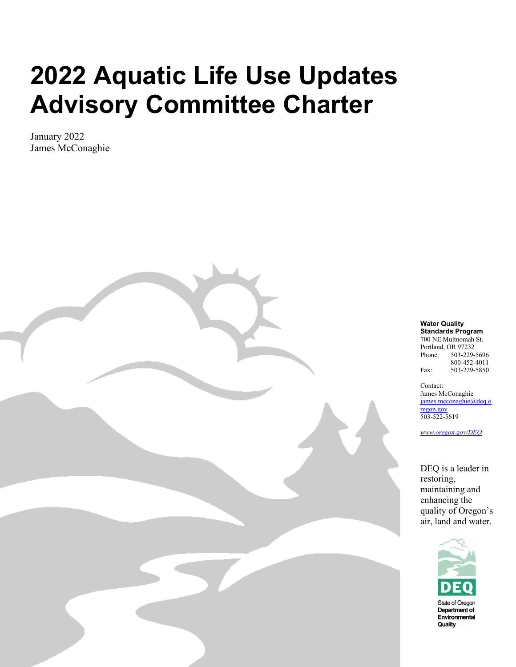# **2022 Aquatic Life Use Updates Advisory Committee Charter**

January 2022 James McConaghie

#### **Water Quality Standards Program**

700 NE Multnomah St. Portland, OR 97232 Phone: 503-229-5696 800-452-4011 Fax: 503-229-5850

Contact: James McConaghie [james.mcconaghie@deq.o](mailto:james.mcconaghie@deq.oregon.gov) [regon.gov](mailto:james.mcconaghie@deq.oregon.gov) 503-522-5619

*[www.oregon.gov/DEQ](http://www.oregon.gov/DEQ)*

DEQ is a leader in restoring, maintaining and enhancing the quality of Oregon's air, land and water.

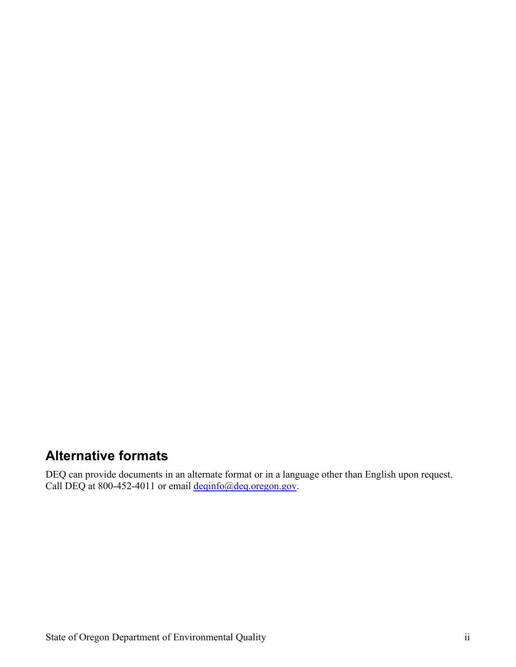#### <span id="page-1-0"></span>**Alternative formats**

DEQ can provide documents in an alternate format or in a language other than English upon request. Call DEQ at 800-452-4011 or email [deqinfo@deq.oregon.gov.](mailto:deqinfo@deq.oregon.gov)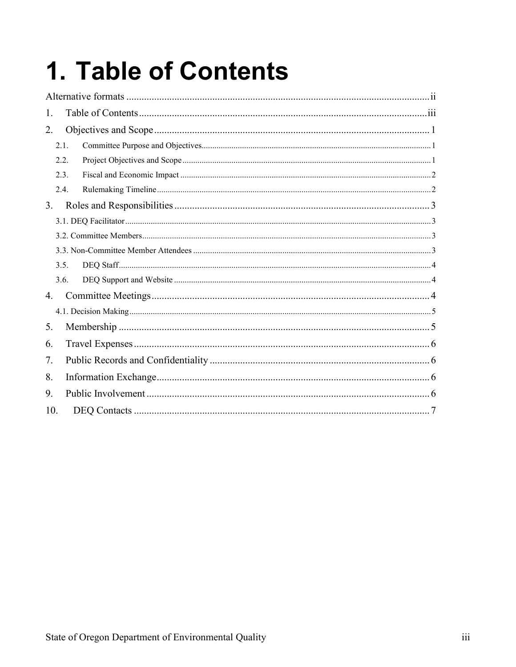# <span id="page-2-0"></span>1. Table of Contents

| 1.  |      |  |  |  |  |
|-----|------|--|--|--|--|
| 2.  |      |  |  |  |  |
|     | 2.1. |  |  |  |  |
|     | 2.2. |  |  |  |  |
|     | 2.3. |  |  |  |  |
|     | 2.4. |  |  |  |  |
| 3.  |      |  |  |  |  |
|     |      |  |  |  |  |
|     |      |  |  |  |  |
|     |      |  |  |  |  |
|     | 3.5. |  |  |  |  |
|     | 3.6. |  |  |  |  |
| 4.  |      |  |  |  |  |
|     |      |  |  |  |  |
| 5.  |      |  |  |  |  |
| 6.  |      |  |  |  |  |
| 7.  |      |  |  |  |  |
| 8.  |      |  |  |  |  |
| 9.  |      |  |  |  |  |
| 10. |      |  |  |  |  |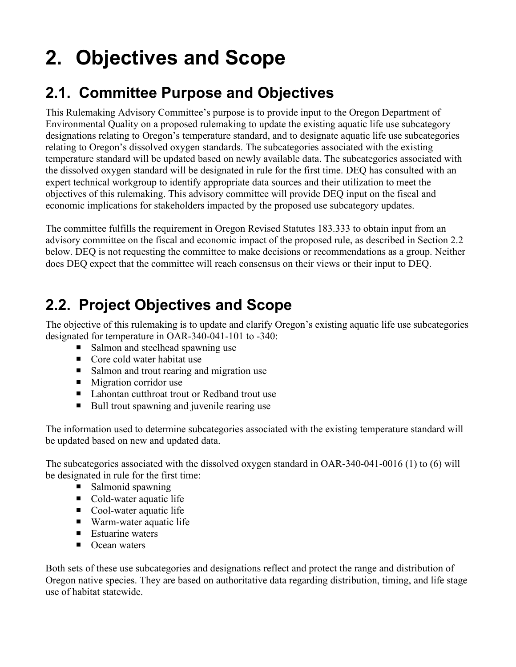## <span id="page-3-0"></span>**2. Objectives and Scope**

#### <span id="page-3-1"></span>**2.1. Committee Purpose and Objectives**

This Rulemaking Advisory Committee's purpose is to provide input to the Oregon Department of Environmental Quality on a proposed rulemaking to update the existing aquatic life use subcategory designations relating to Oregon's temperature standard, and to designate aquatic life use subcategories relating to Oregon's dissolved oxygen standards. The subcategories associated with the existing temperature standard will be updated based on newly available data. The subcategories associated with the dissolved oxygen standard will be designated in rule for the first time. DEQ has consulted with an expert technical workgroup to identify appropriate data sources and their utilization to meet the objectives of this rulemaking. This advisory committee will provide DEQ input on the fiscal and economic implications for stakeholders impacted by the proposed use subcategory updates.

The committee fulfills the requirement in Oregon Revised Statutes 183.333 to obtain input from an advisory committee on the fiscal and economic impact of the proposed rule, as described in Section 2.2 below. DEQ is not requesting the committee to make decisions or recommendations as a group. Neither does DEQ expect that the committee will reach consensus on their views or their input to DEQ.

#### <span id="page-3-2"></span>**2.2. Project Objectives and Scope**

The objective of this rulemaking is to update and clarify Oregon's existing aquatic life use subcategories designated for temperature in OAR-340-041-101 to -340:

- Salmon and steelhead spawning use
- Core cold water habitat use
- Salmon and trout rearing and migration use
- Migration corridor use
- Lahontan cutthroat trout or Redband trout use
- Bull trout spawning and juvenile rearing use

The information used to determine subcategories associated with the existing temperature standard will be updated based on new and updated data.

The subcategories associated with the dissolved oxygen standard in OAR-340-041-0016 (1) to (6) will be designated in rule for the first time:

- $\blacksquare$  Salmonid spawning
- Cold-water aquatic life
- Cool-water aquatic life
- Warm-water aquatic life
- $\blacksquare$  Estuarine waters
- Ocean waters

Both sets of these use subcategories and designations reflect and protect the range and distribution of Oregon native species. They are based on authoritative data regarding distribution, timing, and life stage use of habitat statewide.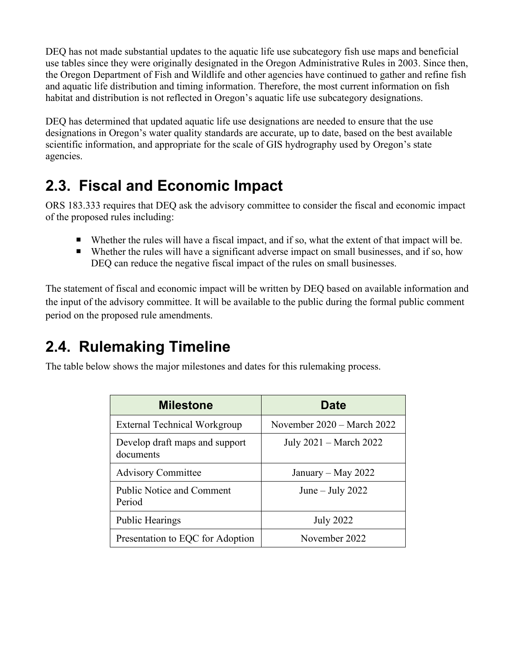DEQ has not made substantial updates to the aquatic life use subcategory fish use maps and beneficial use tables since they were originally designated in the Oregon Administrative Rules in 2003. Since then, the Oregon Department of Fish and Wildlife and other agencies have continued to gather and refine fish and aquatic life distribution and timing information. Therefore, the most current information on fish habitat and distribution is not reflected in Oregon's aquatic life use subcategory designations.

DEQ has determined that updated aquatic life use designations are needed to ensure that the use designations in Oregon's water quality standards are accurate, up to date, based on the best available scientific information, and appropriate for the scale of GIS hydrography used by Oregon's state agencies.

#### <span id="page-4-0"></span>**2.3. Fiscal and Economic Impact**

ORS 183.333 requires that DEQ ask the advisory committee to consider the fiscal and economic impact of the proposed rules including:

- Whether the rules will have a fiscal impact, and if so, what the extent of that impact will be.
- Whether the rules will have a significant adverse impact on small businesses, and if so, how DEQ can reduce the negative fiscal impact of the rules on small businesses.

The statement of fiscal and economic impact will be written by DEQ based on available information and the input of the advisory committee. It will be available to the public during the formal public comment period on the proposed rule amendments.

#### <span id="page-4-1"></span>**2.4. Rulemaking Timeline**

The table below shows the major milestones and dates for this rulemaking process.

| <b>Milestone</b>                            | <b>Date</b>                  |
|---------------------------------------------|------------------------------|
| <b>External Technical Workgroup</b>         | November $2020 - March 2022$ |
| Develop draft maps and support<br>documents | July 2021 – March 2022       |
| <b>Advisory Committee</b>                   | January – May 2022           |
| <b>Public Notice and Comment</b><br>Period  | June – July 2022             |
| <b>Public Hearings</b>                      | <b>July 2022</b>             |
| Presentation to EQC for Adoption            | November 2022                |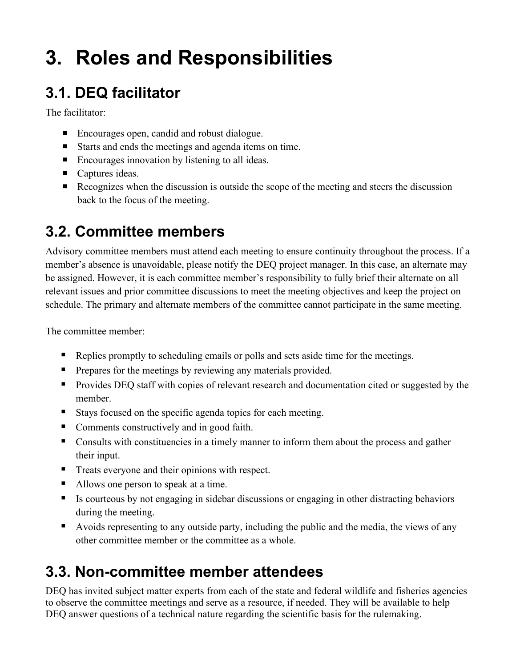### <span id="page-5-0"></span>**3. Roles and Responsibilities**

### <span id="page-5-1"></span>**3.1. DEQ facilitator**

The facilitator:

- Encourages open, candid and robust dialogue.
- Starts and ends the meetings and agenda items on time.
- Encourages innovation by listening to all ideas.
- Captures ideas.
- Recognizes when the discussion is outside the scope of the meeting and steers the discussion back to the focus of the meeting.

#### <span id="page-5-2"></span>**3.2. Committee members**

Advisory committee members must attend each meeting to ensure continuity throughout the process. If a member's absence is unavoidable, please notify the DEQ project manager. In this case, an alternate may be assigned. However, it is each committee member's responsibility to fully brief their alternate on all relevant issues and prior committee discussions to meet the meeting objectives and keep the project on schedule. The primary and alternate members of the committee cannot participate in the same meeting.

The committee member:

- Replies promptly to scheduling emails or polls and sets aside time for the meetings.
- Prepares for the meetings by reviewing any materials provided.
- **Provides DEQ staff with copies of relevant research and documentation cited or suggested by the** member.
- Stays focused on the specific agenda topics for each meeting.
- Comments constructively and in good faith.
- Consults with constituencies in a timely manner to inform them about the process and gather their input.
- **Treats everyone and their opinions with respect.**
- Allows one person to speak at a time.
- Is courteous by not engaging in sidebar discussions or engaging in other distracting behaviors during the meeting.
- Avoids representing to any outside party, including the public and the media, the views of any other committee member or the committee as a whole.

#### <span id="page-5-3"></span>**3.3. Non-committee member attendees**

DEQ has invited subject matter experts from each of the state and federal wildlife and fisheries agencies to observe the committee meetings and serve as a resource, if needed. They will be available to help DEQ answer questions of a technical nature regarding the scientific basis for the rulemaking.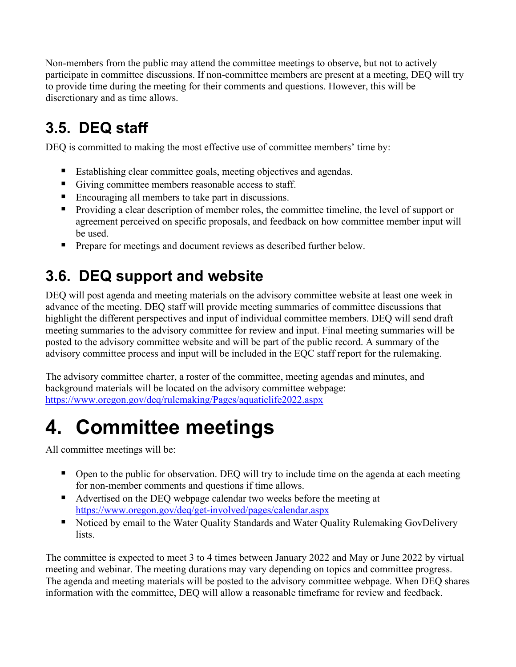Non-members from the public may attend the committee meetings to observe, but not to actively participate in committee discussions. If non-committee members are present at a meeting, DEQ will try to provide time during the meeting for their comments and questions. However, this will be discretionary and as time allows.

### <span id="page-6-0"></span>**3.5. DEQ staff**

DEQ is committed to making the most effective use of committee members' time by:

- Establishing clear committee goals, meeting objectives and agendas.
- Giving committee members reasonable access to staff.
- **Encouraging all members to take part in discussions.**
- Providing a clear description of member roles, the committee timeline, the level of support or agreement perceived on specific proposals, and feedback on how committee member input will be used.
- **Prepare for meetings and document reviews as described further below.**

#### <span id="page-6-1"></span>**3.6. DEQ support and website**

DEQ will post agenda and meeting materials on the advisory committee website at least one week in advance of the meeting. DEQ staff will provide meeting summaries of committee discussions that highlight the different perspectives and input of individual committee members. DEQ will send draft meeting summaries to the advisory committee for review and input. Final meeting summaries will be posted to the advisory committee website and will be part of the public record. A summary of the advisory committee process and input will be included in the EQC staff report for the rulemaking.

The advisory committee charter, a roster of the committee, meeting agendas and minutes, and background materials will be located on the advisory committee webpage: <https://www.oregon.gov/deq/rulemaking/Pages/aquaticlife2022.aspx>

### <span id="page-6-2"></span>**4. Committee meetings**

All committee meetings will be:

- Open to the public for observation. DEQ will try to include time on the agenda at each meeting for non-member comments and questions if time allows.
- Advertised on the DEQ webpage calendar two weeks before the meeting at <https://www.oregon.gov/deq/get-involved/pages/calendar.aspx>
- Noticed by email to the Water Quality Standards and Water Quality Rulemaking GovDelivery lists.

The committee is expected to meet 3 to 4 times between January 2022 and May or June 2022 by virtual meeting and webinar. The meeting durations may vary depending on topics and committee progress. The agenda and meeting materials will be posted to the advisory committee webpage. When DEQ shares information with the committee, DEQ will allow a reasonable timeframe for review and feedback.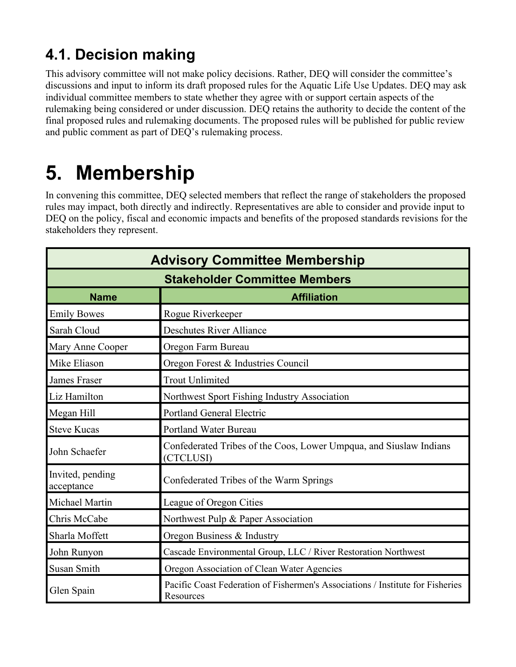#### <span id="page-7-0"></span>**4.1. Decision making**

This advisory committee will not make policy decisions. Rather, DEQ will consider the committee's discussions and input to inform its draft proposed rules for the Aquatic Life Use Updates. DEQ may ask individual committee members to state whether they agree with or support certain aspects of the rulemaking being considered or under discussion. DEQ retains the authority to decide the content of the final proposed rules and rulemaking documents. The proposed rules will be published for public review and public comment as part of DEQ's rulemaking process.

### <span id="page-7-1"></span>**5. Membership**

In convening this committee, DEQ selected members that reflect the range of stakeholders the proposed rules may impact, both directly and indirectly. Representatives are able to consider and provide input to DEQ on the policy, fiscal and economic impacts and benefits of the proposed standards revisions for the stakeholders they represent.

| <b>Advisory Committee Membership</b><br><b>Stakeholder Committee Members</b> |                                                                                             |  |  |  |
|------------------------------------------------------------------------------|---------------------------------------------------------------------------------------------|--|--|--|
|                                                                              |                                                                                             |  |  |  |
| <b>Emily Bowes</b>                                                           | Rogue Riverkeeper                                                                           |  |  |  |
| Sarah Cloud                                                                  | <b>Deschutes River Alliance</b>                                                             |  |  |  |
| Mary Anne Cooper                                                             | Oregon Farm Bureau                                                                          |  |  |  |
| Mike Eliason                                                                 | Oregon Forest & Industries Council                                                          |  |  |  |
| <b>James Fraser</b>                                                          | <b>Trout Unlimited</b>                                                                      |  |  |  |
| Liz Hamilton                                                                 | Northwest Sport Fishing Industry Association                                                |  |  |  |
| Megan Hill                                                                   | <b>Portland General Electric</b>                                                            |  |  |  |
| <b>Steve Kucas</b>                                                           | Portland Water Bureau                                                                       |  |  |  |
| John Schaefer                                                                | Confederated Tribes of the Coos, Lower Umpqua, and Siuslaw Indians<br>(CTCLUSI)             |  |  |  |
| Invited, pending<br>acceptance                                               | Confederated Tribes of the Warm Springs                                                     |  |  |  |
| Michael Martin                                                               | League of Oregon Cities                                                                     |  |  |  |
| Chris McCabe                                                                 | Northwest Pulp & Paper Association                                                          |  |  |  |
| Sharla Moffett                                                               | Oregon Business & Industry                                                                  |  |  |  |
| John Runyon                                                                  | Cascade Environmental Group, LLC / River Restoration Northwest                              |  |  |  |
| <b>Susan Smith</b>                                                           | Oregon Association of Clean Water Agencies                                                  |  |  |  |
| Glen Spain                                                                   | Pacific Coast Federation of Fishermen's Associations / Institute for Fisheries<br>Resources |  |  |  |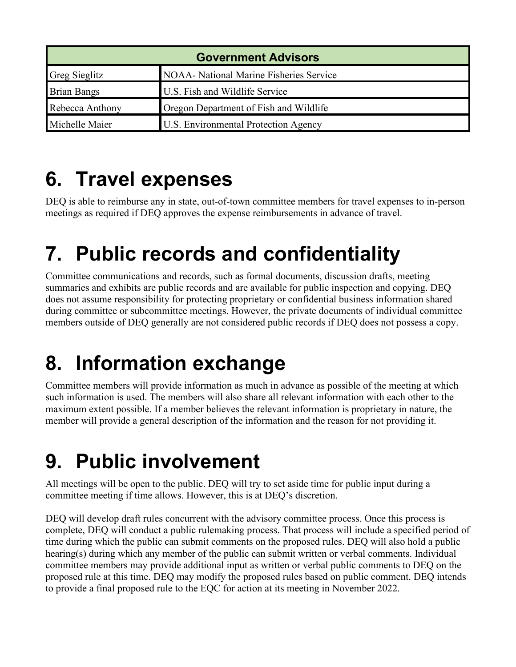| <b>Government Advisors</b> |                                                |  |  |
|----------------------------|------------------------------------------------|--|--|
| <b>Greg Sieglitz</b>       | <b>NOAA-</b> National Marine Fisheries Service |  |  |
| <b>Brian Bangs</b>         | U.S. Fish and Wildlife Service                 |  |  |
| Rebecca Anthony            | Oregon Department of Fish and Wildlife         |  |  |
| Michelle Maier             | <b>U.S. Environmental Protection Agency</b>    |  |  |

### <span id="page-8-0"></span>**6. Travel expenses**

DEQ is able to reimburse any in state, out-of-town committee members for travel expenses to in-person meetings as required if DEQ approves the expense reimbursements in advance of travel.

### <span id="page-8-1"></span>**7. Public records and confidentiality**

Committee communications and records, such as formal documents, discussion drafts, meeting summaries and exhibits are public records and are available for public inspection and copying. DEQ does not assume responsibility for protecting proprietary or confidential business information shared during committee or subcommittee meetings. However, the private documents of individual committee members outside of DEQ generally are not considered public records if DEQ does not possess a copy.

### <span id="page-8-2"></span>**8. Information exchange**

Committee members will provide information as much in advance as possible of the meeting at which such information is used. The members will also share all relevant information with each other to the maximum extent possible. If a member believes the relevant information is proprietary in nature, the member will provide a general description of the information and the reason for not providing it.

### <span id="page-8-3"></span>**9. Public involvement**

All meetings will be open to the public. DEQ will try to set aside time for public input during a committee meeting if time allows. However, this is at DEQ's discretion.

DEQ will develop draft rules concurrent with the advisory committee process. Once this process is complete, DEQ will conduct a public rulemaking process. That process will include a specified period of time during which the public can submit comments on the proposed rules. DEQ will also hold a public hearing(s) during which any member of the public can submit written or verbal comments. Individual committee members may provide additional input as written or verbal public comments to DEQ on the proposed rule at this time. DEQ may modify the proposed rules based on public comment. DEQ intends to provide a final proposed rule to the EQC for action at its meeting in November 2022.